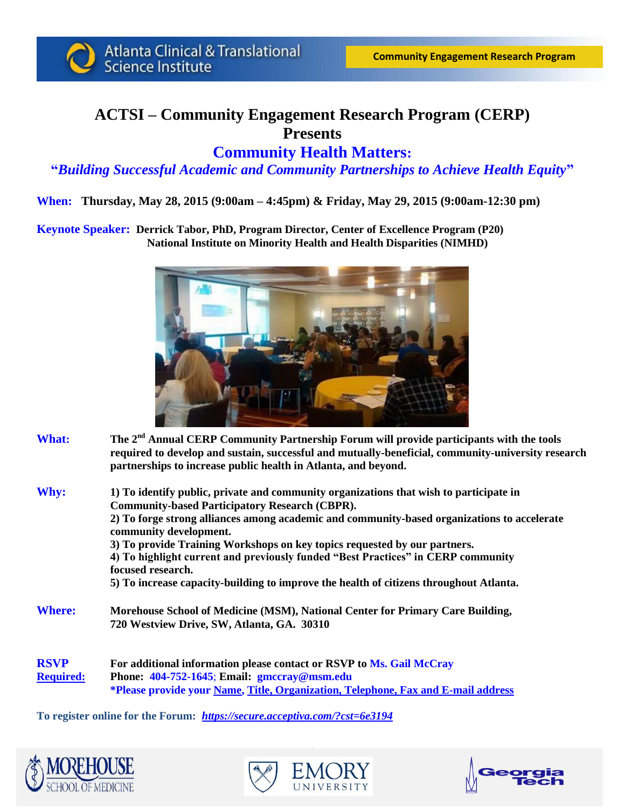

**Atlanta Clinical & Translational** Science Institute

# **ACTSI – Community Engagement Research Program (CERP) Presents**

### **Community Health Matters:**

#### **"***Building Successful Academic and Community Partnerships to Achieve Health Equity***"**

**When: Thursday, May 28, 2015 (9:00am – 4:45pm) & Friday, May 29, 2015 (9:00am-12:30 pm)**

**Keynote Speaker: Derrick Tabor, PhD, Program Director, Center of Excellence Program (P20) National Institute on Minority Health and Health Disparities (NIMHD)**



- **What:** The 2<sup>nd</sup> Annual CERP Community Partnership Forum will provide participants with the tools **required to develop and sustain, successful and mutually-beneficial, community-university research partnerships to increase public health in Atlanta, and beyond.**
- **Why: 1) To identify public, private and community organizations that wish to participate in Community-based Participatory Research (CBPR). 2) To forge strong alliances among academic and community-based organizations to accelerate community development. 3) To provide Training Workshops on key topics requested by our partners. 4) To highlight current and previously funded "Best Practices" in CERP community focused research. 5) To increase capacity-building to improve the health of citizens throughout Atlanta. Where: Morehouse School of Medicine (MSM), National Center for Primary Care Building, 720 Westview Drive, SW, Atlanta, GA. 30310**
- **RSVP For additional information please contact or RSVP to Ms. Gail McCray Required: Phone: 404-752-1645**; **Email: gmccray@msm.edu \*Please provide your Name, Title, Organization, Telephone, Fax and E-mail address**

**To register online for the Forum:** *<https://secure.acceptiva.com/?cst=6e3194>*





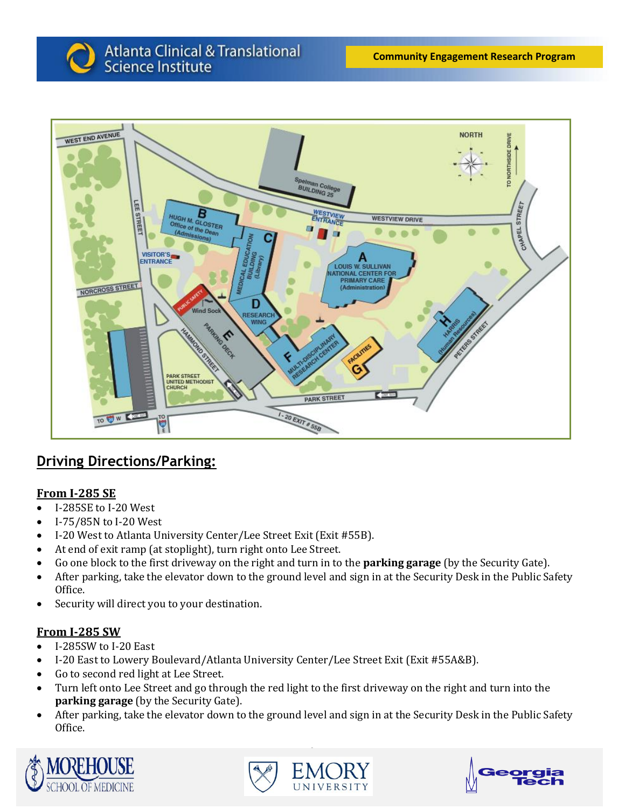

## **Driving Directions/Parking:**

### **From I-285 SE**

- I-285SE to I-20 West
- $-I-75/85N$  to I-20 West
- I-20 West to Atlanta University Center/Lee Street Exit (Exit #55B).
- At end of exit ramp (at stoplight), turn right onto Lee Street.
- Go one block to the first driveway on the right and turn in to the **parking garage** (by the Security Gate).
- After parking, take the elevator down to the ground level and sign in at the Security Desk in the Public Safety Office.
- Security will direct you to your destination.

### **From I-285 SW**

- I-285SW to I-20 East
- I-20 East to Lowery Boulevard/Atlanta University Center/Lee Street Exit (Exit #55A&B).
- Go to second red light at Lee Street.
- Turn left onto Lee Street and go through the red light to the first driveway on the right and turn into the **parking garage** (by the Security Gate).
- After parking, take the elevator down to the ground level and sign in at the Security Desk in the Public Safety Office.